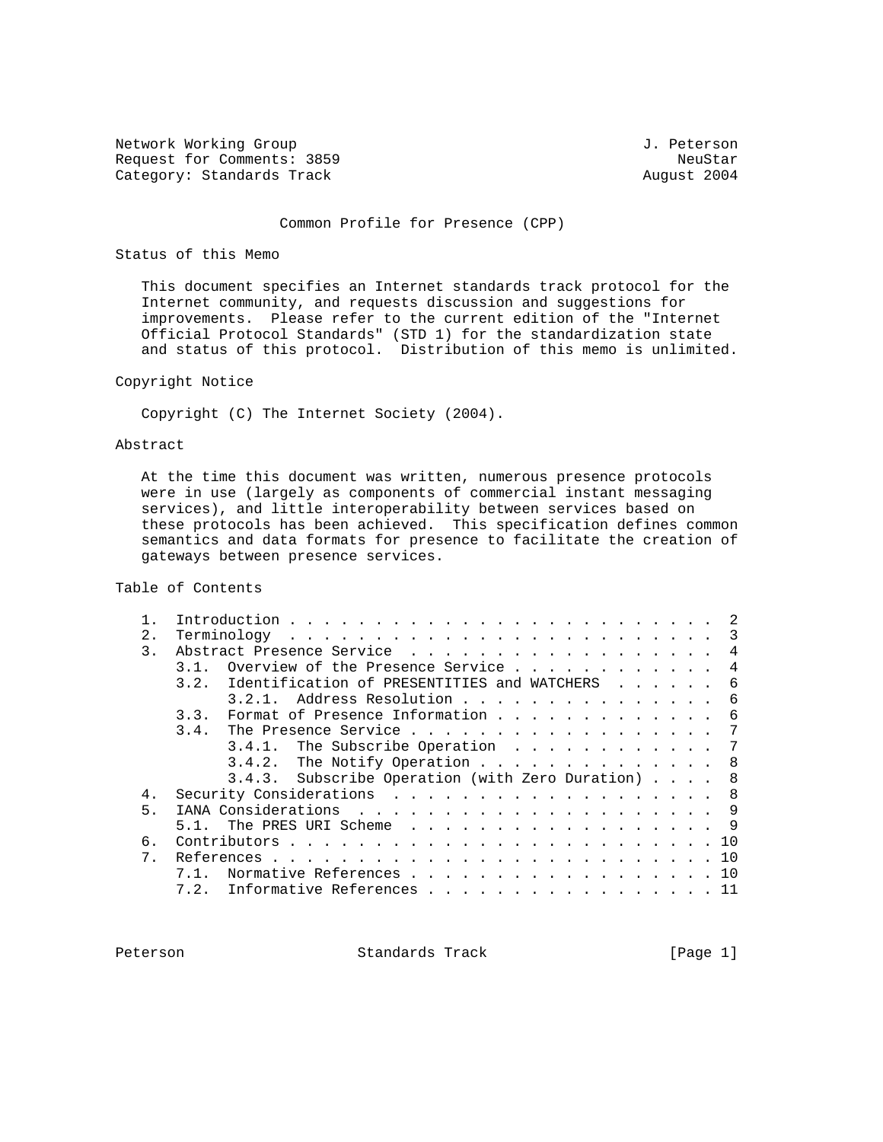Network Working Group 3. 2012 1. Peterson Request for Comments: 3859 NeuStar Category: Standards Track

### Common Profile for Presence (CPP)

## Status of this Memo

 This document specifies an Internet standards track protocol for the Internet community, and requests discussion and suggestions for improvements. Please refer to the current edition of the "Internet Official Protocol Standards" (STD 1) for the standardization state and status of this protocol. Distribution of this memo is unlimited.

## Copyright Notice

Copyright (C) The Internet Society (2004).

# Abstract

 At the time this document was written, numerous presence protocols were in use (largely as components of commercial instant messaging services), and little interoperability between services based on these protocols has been achieved. This specification defines common semantics and data formats for presence to facilitate the creation of gateways between presence services.

Table of Contents

|       | 3                                                        |
|-------|----------------------------------------------------------|
| 3.    | Abstract Presence Service<br>$\overline{4}$              |
|       | Overview of the Presence Service<br>4                    |
|       | Identification of PRESENTITIES and WATCHERS<br>3.2.<br>6 |
|       | Address Resolution<br>3.2.1<br>-6                        |
|       | Format of Presence Information<br>6<br>3.3.              |
|       | The Presence Service<br>3.4.<br>- 7                      |
|       | 3.4.1. The Subscribe Operation<br>- 7                    |
|       | $3.4.2$ . The Notify Operation<br>8                      |
|       | 3.4.3. Subscribe Operation (with Zero Duration) 8        |
| 4.    | Security Considerations 8                                |
| 5     | 9                                                        |
|       | 9<br>The PRES URI Scheme                                 |
| б.    | 10                                                       |
| $7$ . | 10                                                       |
|       | Normative References 10                                  |
|       | Informative References<br>7.2.<br>-11                    |
|       |                                                          |

Peterson Standards Track [Page 1]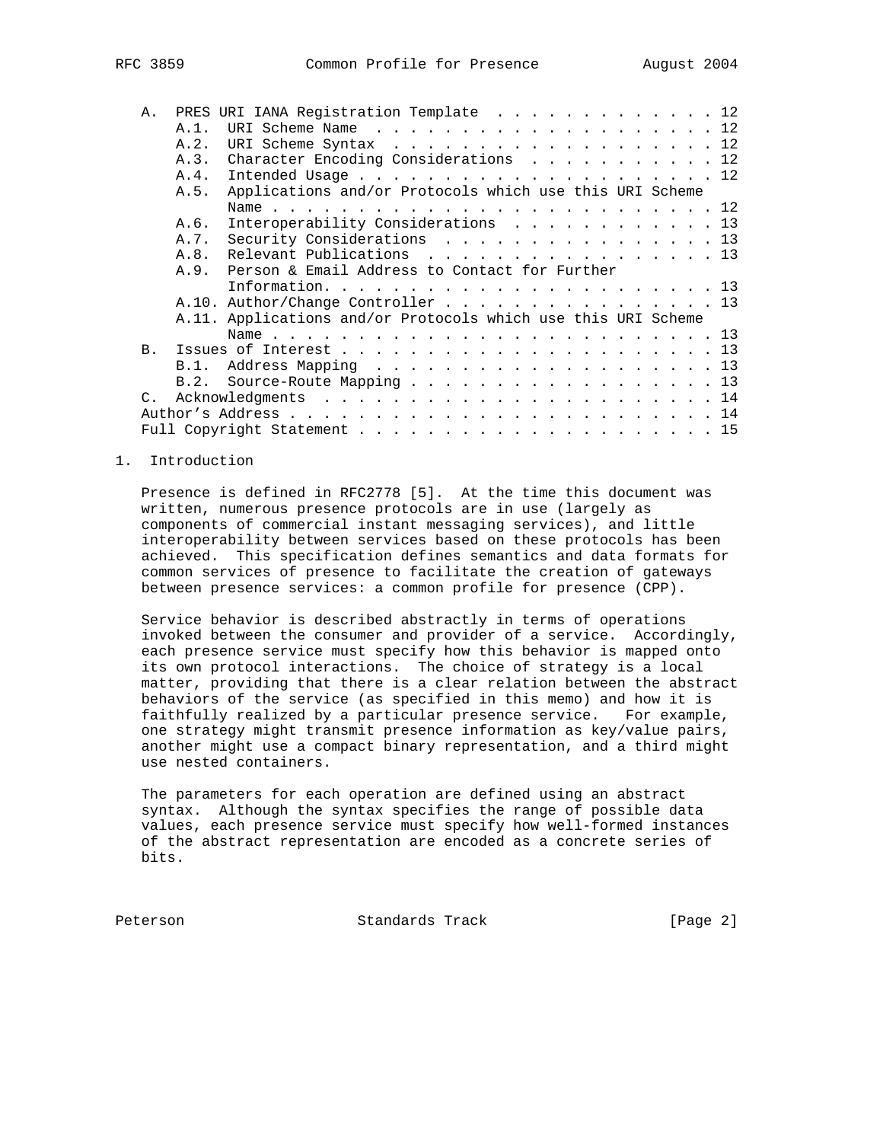| ر رە د |  |  |
|--------|--|--|
|        |  |  |
|        |  |  |

| $A$ .           |         | PRES URI IANA Registration Template 12                        |
|-----------------|---------|---------------------------------------------------------------|
|                 | $A.1$ . | URI Scheme Name 12                                            |
|                 | A.2.    | URI Scheme Syntax 12                                          |
|                 |         | A.3. Character Encoding Considerations 12                     |
|                 | A.4.    |                                                               |
|                 | A.5.    | Applications and/or Protocols which use this URI Scheme       |
|                 |         |                                                               |
|                 | A.6.    | Interoperability Considerations 13                            |
|                 | A.7.    | Security Considerations 13                                    |
|                 | A.8.    | Relevant Publications 13                                      |
|                 |         | A.9. Person & Email Address to Contact for Further            |
|                 |         |                                                               |
|                 |         | A.10. Author/Change Controller $\ldots$ 13                    |
|                 |         | A.11. Applications and/or Protocols which use this URI Scheme |
|                 |         |                                                               |
| B.              |         |                                                               |
|                 | B.1.    |                                                               |
|                 | B.2.    | Source-Route Mapping 13                                       |
| $\mathcal{C}$ . |         |                                                               |
|                 |         |                                                               |
|                 |         |                                                               |
|                 |         |                                                               |

## 1. Introduction

 Presence is defined in RFC2778 [5]. At the time this document was written, numerous presence protocols are in use (largely as components of commercial instant messaging services), and little interoperability between services based on these protocols has been achieved. This specification defines semantics and data formats for common services of presence to facilitate the creation of gateways between presence services: a common profile for presence (CPP).

 Service behavior is described abstractly in terms of operations invoked between the consumer and provider of a service. Accordingly, each presence service must specify how this behavior is mapped onto its own protocol interactions. The choice of strategy is a local matter, providing that there is a clear relation between the abstract behaviors of the service (as specified in this memo) and how it is faithfully realized by a particular presence service. For example, one strategy might transmit presence information as key/value pairs, another might use a compact binary representation, and a third might use nested containers.

 The parameters for each operation are defined using an abstract syntax. Although the syntax specifies the range of possible data values, each presence service must specify how well-formed instances of the abstract representation are encoded as a concrete series of bits.

Peterson Standards Track [Page 2]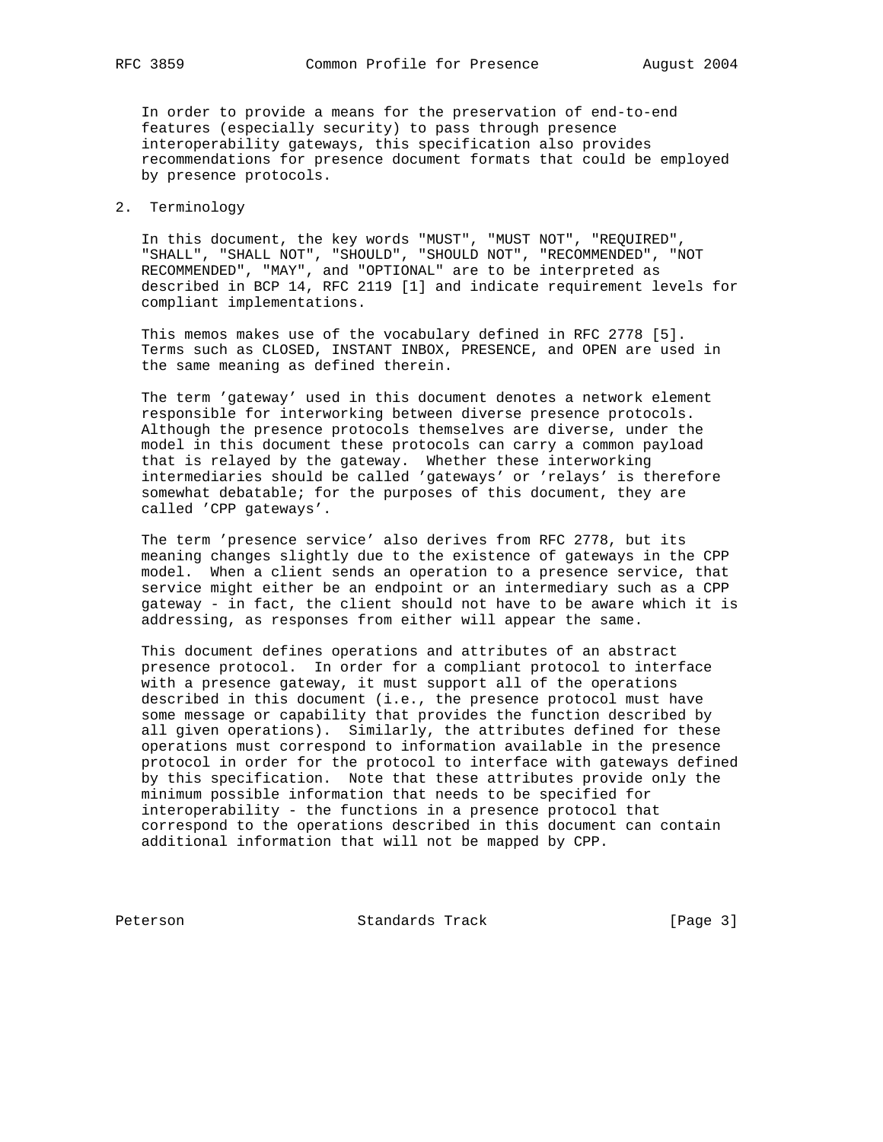In order to provide a means for the preservation of end-to-end features (especially security) to pass through presence interoperability gateways, this specification also provides recommendations for presence document formats that could be employed by presence protocols.

## 2. Terminology

 In this document, the key words "MUST", "MUST NOT", "REQUIRED", "SHALL", "SHALL NOT", "SHOULD", "SHOULD NOT", "RECOMMENDED", "NOT RECOMMENDED", "MAY", and "OPTIONAL" are to be interpreted as described in BCP 14, RFC 2119 [1] and indicate requirement levels for compliant implementations.

 This memos makes use of the vocabulary defined in RFC 2778 [5]. Terms such as CLOSED, INSTANT INBOX, PRESENCE, and OPEN are used in the same meaning as defined therein.

 The term 'gateway' used in this document denotes a network element responsible for interworking between diverse presence protocols. Although the presence protocols themselves are diverse, under the model in this document these protocols can carry a common payload that is relayed by the gateway. Whether these interworking intermediaries should be called 'gateways' or 'relays' is therefore somewhat debatable; for the purposes of this document, they are called 'CPP gateways'.

 The term 'presence service' also derives from RFC 2778, but its meaning changes slightly due to the existence of gateways in the CPP model. When a client sends an operation to a presence service, that service might either be an endpoint or an intermediary such as a CPP gateway - in fact, the client should not have to be aware which it is addressing, as responses from either will appear the same.

 This document defines operations and attributes of an abstract presence protocol. In order for a compliant protocol to interface with a presence gateway, it must support all of the operations described in this document (i.e., the presence protocol must have some message or capability that provides the function described by all given operations). Similarly, the attributes defined for these operations must correspond to information available in the presence protocol in order for the protocol to interface with gateways defined by this specification. Note that these attributes provide only the minimum possible information that needs to be specified for interoperability - the functions in a presence protocol that correspond to the operations described in this document can contain additional information that will not be mapped by CPP.

Peterson Standards Track [Page 3]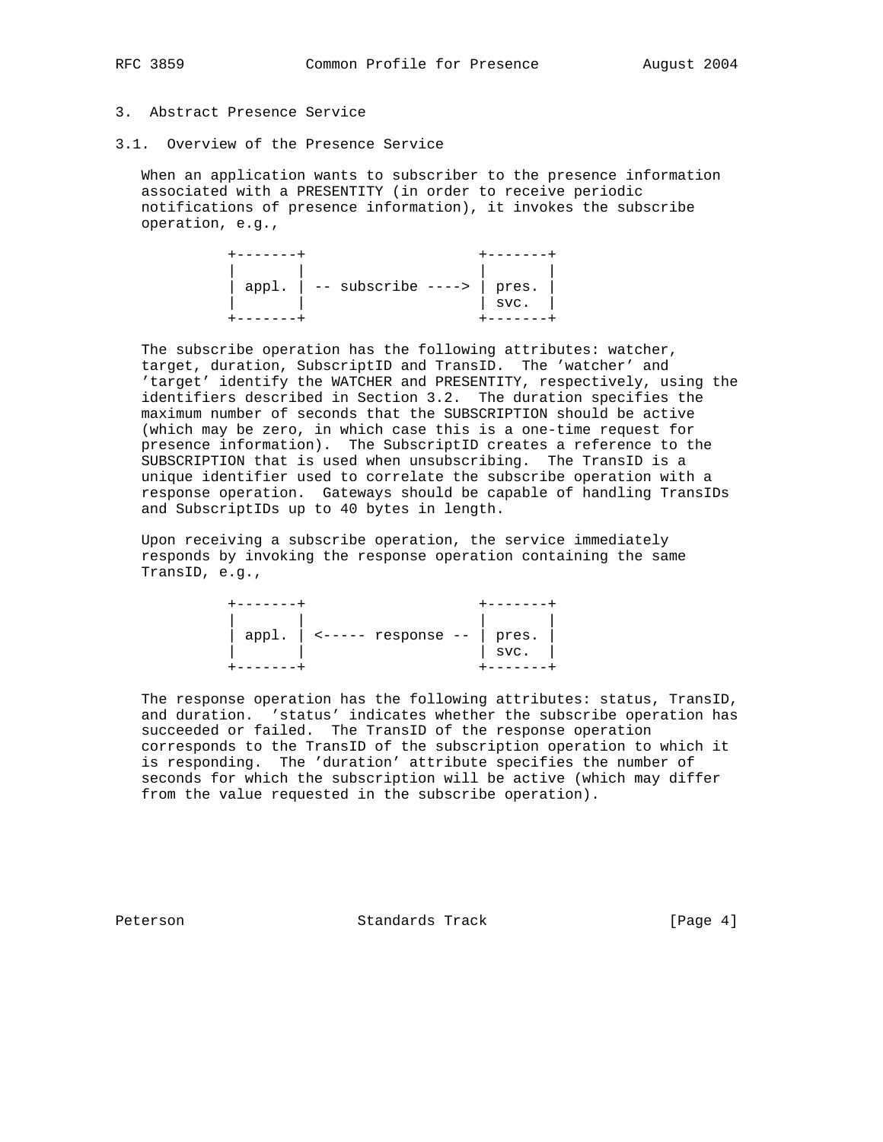# 3. Abstract Presence Service

3.1. Overview of the Presence Service

 When an application wants to subscriber to the presence information associated with a PRESENTITY (in order to receive periodic notifications of presence information), it invokes the subscribe operation, e.g.,

| appl. $  - -$ subscribe ----> $ $ pres. $ $ | $\frac{1}{\text{svc}}$ . |
|---------------------------------------------|--------------------------|
|                                             |                          |

 The subscribe operation has the following attributes: watcher, target, duration, SubscriptID and TransID. The 'watcher' and 'target' identify the WATCHER and PRESENTITY, respectively, using the identifiers described in Section 3.2. The duration specifies the maximum number of seconds that the SUBSCRIPTION should be active (which may be zero, in which case this is a one-time request for presence information). The SubscriptID creates a reference to the SUBSCRIPTION that is used when unsubscribing. The TransID is a unique identifier used to correlate the subscribe operation with a response operation. Gateways should be capable of handling TransIDs and SubscriptIDs up to 40 bytes in length.

 Upon receiving a subscribe operation, the service immediately responds by invoking the response operation containing the same TransID, e.g.,

| appl. | <----- response -- | pres.<br>-<br>svc. |
|-------|--------------------|--------------------|
|       |                    |                    |

 The response operation has the following attributes: status, TransID, and duration. 'status' indicates whether the subscribe operation has succeeded or failed. The TransID of the response operation corresponds to the TransID of the subscription operation to which it is responding. The 'duration' attribute specifies the number of seconds for which the subscription will be active (which may differ from the value requested in the subscribe operation).

Peterson Standards Track [Page 4]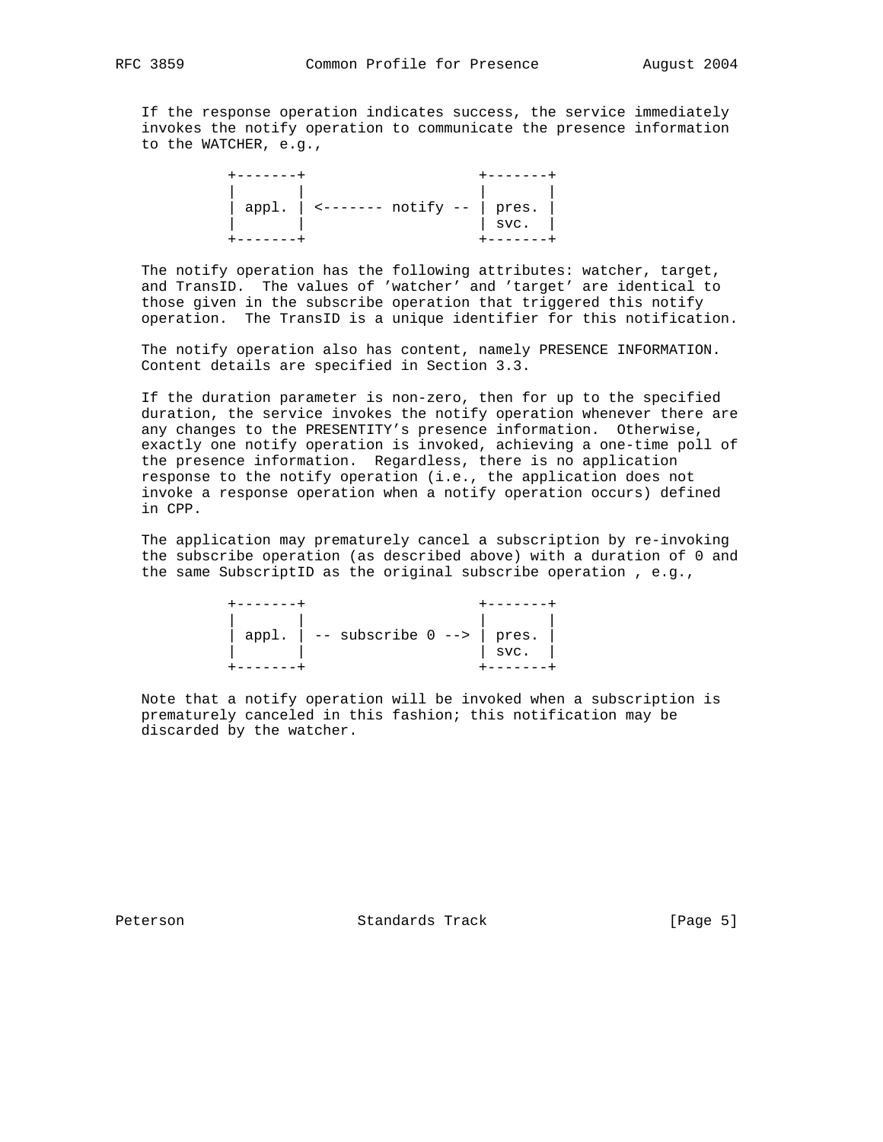If the response operation indicates success, the service immediately invokes the notify operation to communicate the presence information to the WATCHER, e.g.,

 +-------+ +-------+ | | | | | appl. | <------- notify -- | pres. | | | | svc. | +-------+ +-------+

 The notify operation has the following attributes: watcher, target, and TransID. The values of 'watcher' and 'target' are identical to those given in the subscribe operation that triggered this notify operation. The TransID is a unique identifier for this notification.

 The notify operation also has content, namely PRESENCE INFORMATION. Content details are specified in Section 3.3.

 If the duration parameter is non-zero, then for up to the specified duration, the service invokes the notify operation whenever there are any changes to the PRESENTITY's presence information. Otherwise, exactly one notify operation is invoked, achieving a one-time poll of the presence information. Regardless, there is no application response to the notify operation (i.e., the application does not invoke a response operation when a notify operation occurs) defined in CPP.

 The application may prematurely cancel a subscription by re-invoking the subscribe operation (as described above) with a duration of 0 and the same SubscriptID as the original subscribe operation , e.g.,

| appl. $  -$ subscribe $0$ --> $ $ pres. | SVC. |
|-----------------------------------------|------|

 Note that a notify operation will be invoked when a subscription is prematurely canceled in this fashion; this notification may be discarded by the watcher.

Peterson Standards Track [Page 5]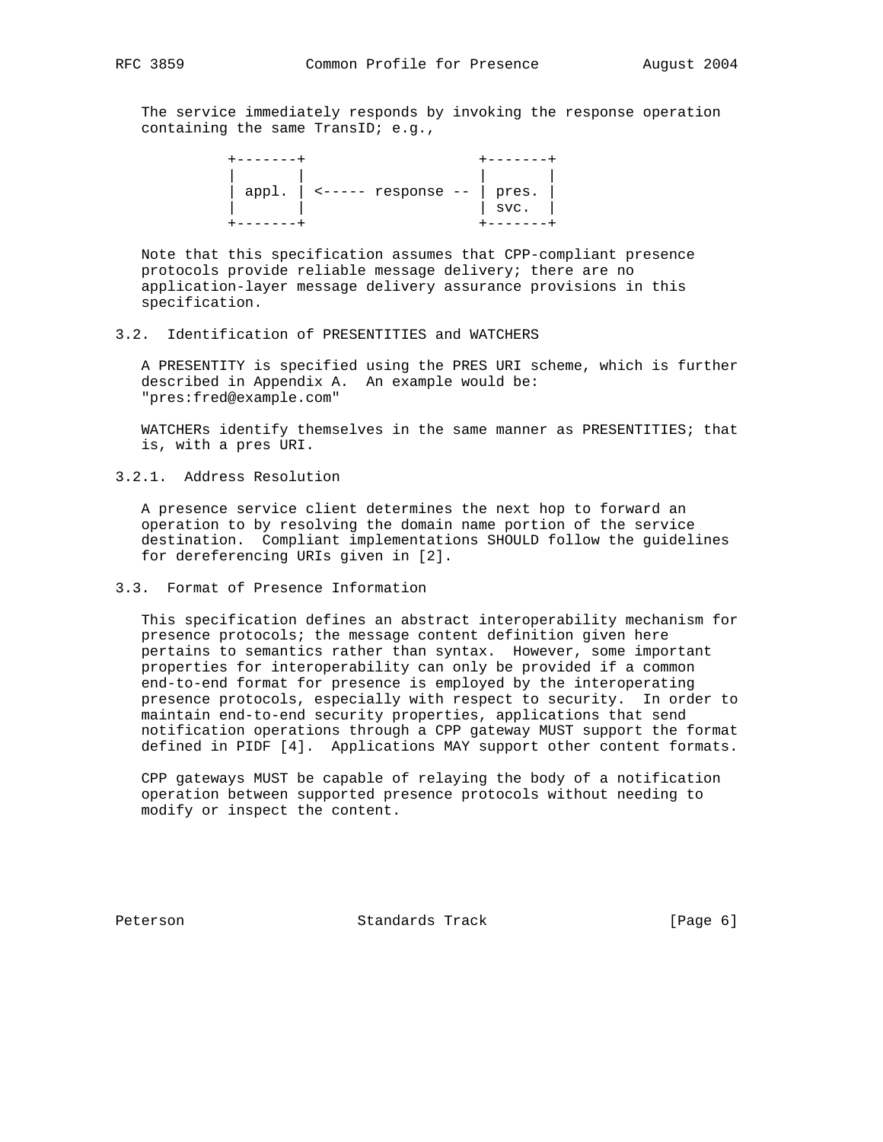The service immediately responds by invoking the response operation containing the same TransID; e.g.,



 Note that this specification assumes that CPP-compliant presence protocols provide reliable message delivery; there are no application-layer message delivery assurance provisions in this specification.

### 3.2. Identification of PRESENTITIES and WATCHERS

 A PRESENTITY is specified using the PRES URI scheme, which is further described in Appendix A. An example would be: "pres:fred@example.com"

 WATCHERs identify themselves in the same manner as PRESENTITIES; that is, with a pres URI.

3.2.1. Address Resolution

 A presence service client determines the next hop to forward an operation to by resolving the domain name portion of the service destination. Compliant implementations SHOULD follow the guidelines for dereferencing URIs given in [2].

### 3.3. Format of Presence Information

 This specification defines an abstract interoperability mechanism for presence protocols; the message content definition given here pertains to semantics rather than syntax. However, some important properties for interoperability can only be provided if a common end-to-end format for presence is employed by the interoperating presence protocols, especially with respect to security. In order to maintain end-to-end security properties, applications that send notification operations through a CPP gateway MUST support the format defined in PIDF [4]. Applications MAY support other content formats.

 CPP gateways MUST be capable of relaying the body of a notification operation between supported presence protocols without needing to modify or inspect the content.

Peterson Standards Track [Page 6]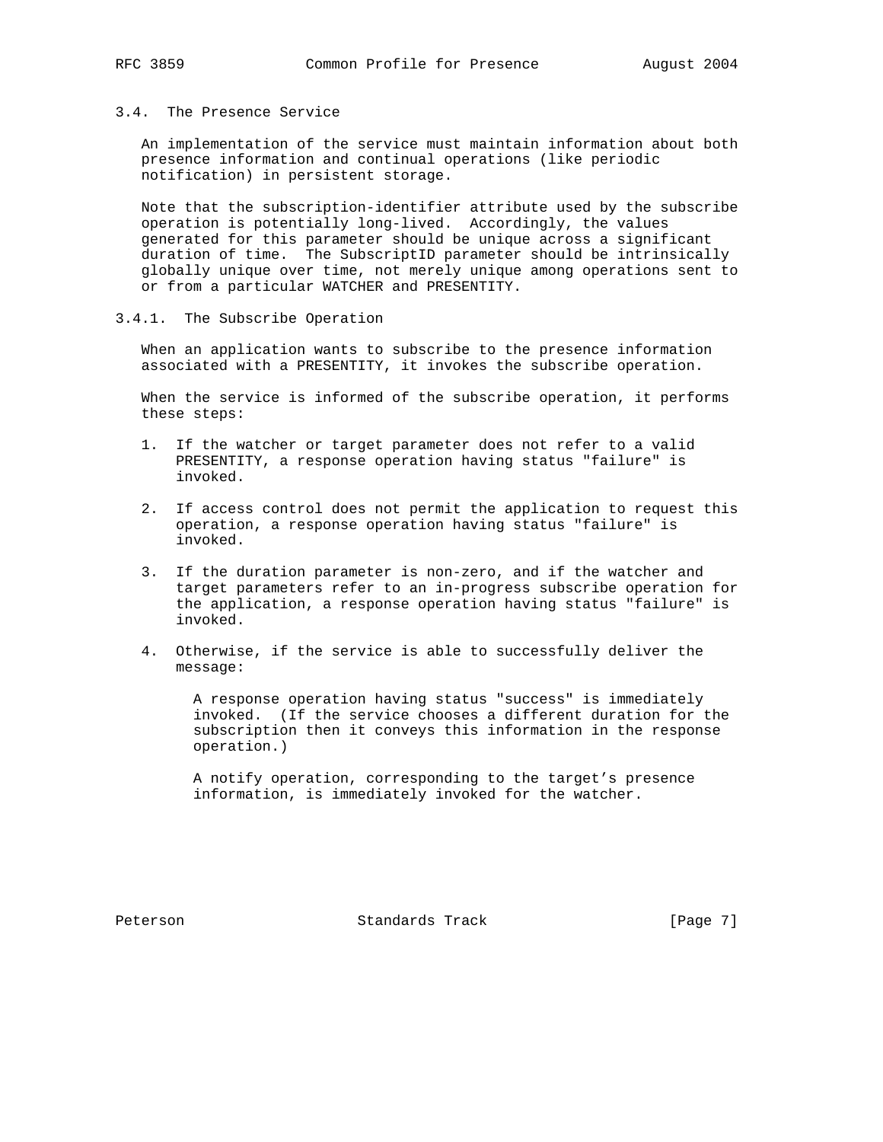## 3.4. The Presence Service

 An implementation of the service must maintain information about both presence information and continual operations (like periodic notification) in persistent storage.

 Note that the subscription-identifier attribute used by the subscribe operation is potentially long-lived. Accordingly, the values generated for this parameter should be unique across a significant duration of time. The SubscriptID parameter should be intrinsically globally unique over time, not merely unique among operations sent to or from a particular WATCHER and PRESENTITY.

## 3.4.1. The Subscribe Operation

 When an application wants to subscribe to the presence information associated with a PRESENTITY, it invokes the subscribe operation.

 When the service is informed of the subscribe operation, it performs these steps:

- 1. If the watcher or target parameter does not refer to a valid PRESENTITY, a response operation having status "failure" is invoked.
- 2. If access control does not permit the application to request this operation, a response operation having status "failure" is invoked.
- 3. If the duration parameter is non-zero, and if the watcher and target parameters refer to an in-progress subscribe operation for the application, a response operation having status "failure" is invoked.
- 4. Otherwise, if the service is able to successfully deliver the message:

 A response operation having status "success" is immediately invoked. (If the service chooses a different duration for the subscription then it conveys this information in the response operation.)

 A notify operation, corresponding to the target's presence information, is immediately invoked for the watcher.

Peterson Standards Track [Page 7]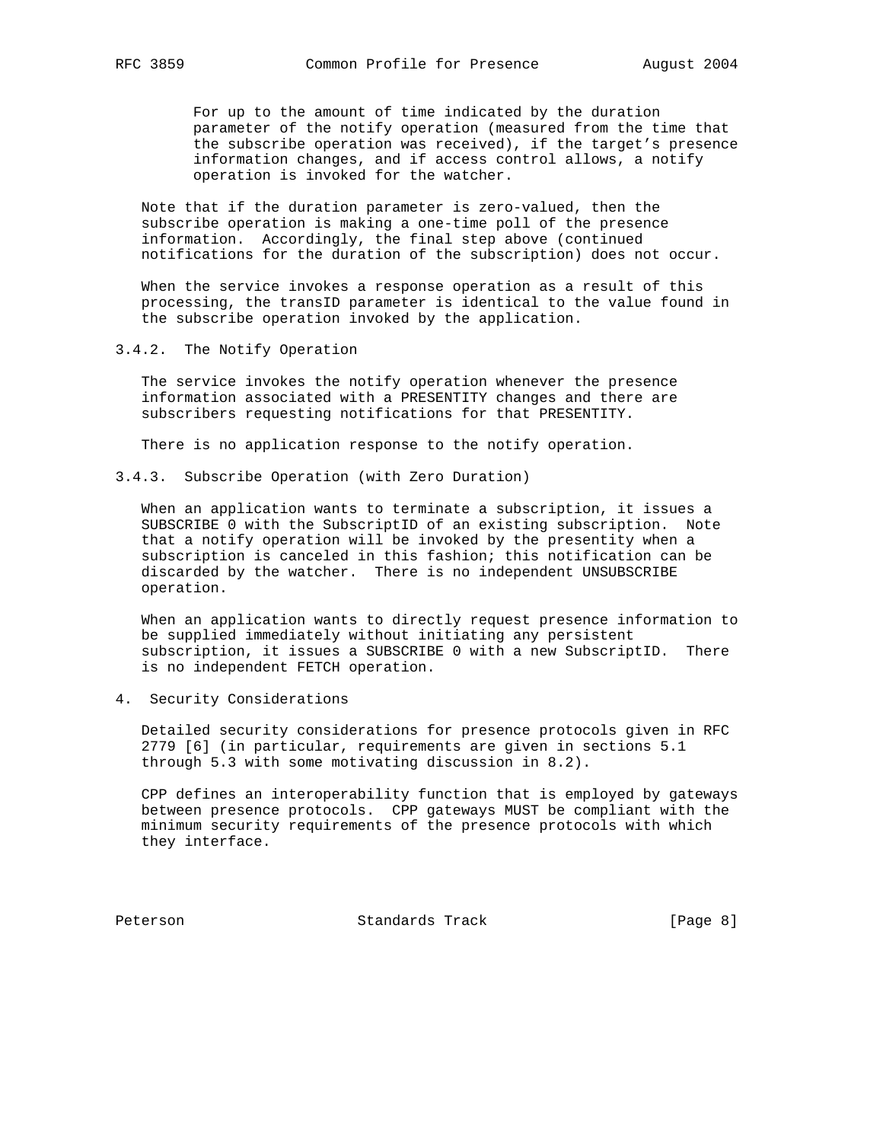For up to the amount of time indicated by the duration parameter of the notify operation (measured from the time that the subscribe operation was received), if the target's presence information changes, and if access control allows, a notify operation is invoked for the watcher.

 Note that if the duration parameter is zero-valued, then the subscribe operation is making a one-time poll of the presence information. Accordingly, the final step above (continued notifications for the duration of the subscription) does not occur.

 When the service invokes a response operation as a result of this processing, the transID parameter is identical to the value found in the subscribe operation invoked by the application.

3.4.2. The Notify Operation

 The service invokes the notify operation whenever the presence information associated with a PRESENTITY changes and there are subscribers requesting notifications for that PRESENTITY.

There is no application response to the notify operation.

3.4.3. Subscribe Operation (with Zero Duration)

 When an application wants to terminate a subscription, it issues a SUBSCRIBE 0 with the SubscriptID of an existing subscription. Note that a notify operation will be invoked by the presentity when a subscription is canceled in this fashion; this notification can be discarded by the watcher. There is no independent UNSUBSCRIBE operation.

 When an application wants to directly request presence information to be supplied immediately without initiating any persistent subscription, it issues a SUBSCRIBE 0 with a new SubscriptID. There is no independent FETCH operation.

4. Security Considerations

 Detailed security considerations for presence protocols given in RFC 2779 [6] (in particular, requirements are given in sections 5.1 through 5.3 with some motivating discussion in 8.2).

 CPP defines an interoperability function that is employed by gateways between presence protocols. CPP gateways MUST be compliant with the minimum security requirements of the presence protocols with which they interface.

Peterson Standards Track [Page 8]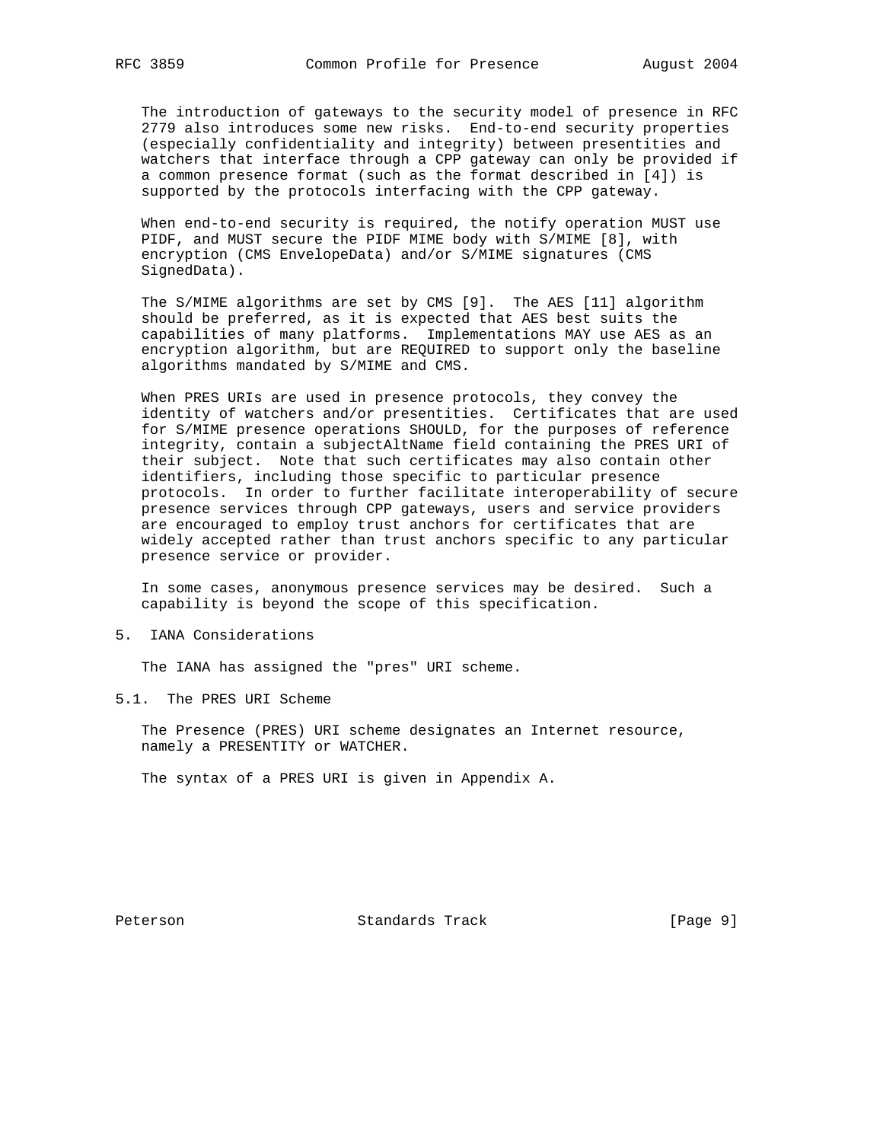The introduction of gateways to the security model of presence in RFC 2779 also introduces some new risks. End-to-end security properties (especially confidentiality and integrity) between presentities and watchers that interface through a CPP gateway can only be provided if a common presence format (such as the format described in [4]) is supported by the protocols interfacing with the CPP gateway.

 When end-to-end security is required, the notify operation MUST use PIDF, and MUST secure the PIDF MIME body with S/MIME [8], with encryption (CMS EnvelopeData) and/or S/MIME signatures (CMS SignedData).

 The S/MIME algorithms are set by CMS [9]. The AES [11] algorithm should be preferred, as it is expected that AES best suits the capabilities of many platforms. Implementations MAY use AES as an encryption algorithm, but are REQUIRED to support only the baseline algorithms mandated by S/MIME and CMS.

 When PRES URIs are used in presence protocols, they convey the identity of watchers and/or presentities. Certificates that are used for S/MIME presence operations SHOULD, for the purposes of reference integrity, contain a subjectAltName field containing the PRES URI of their subject. Note that such certificates may also contain other identifiers, including those specific to particular presence protocols. In order to further facilitate interoperability of secure presence services through CPP gateways, users and service providers are encouraged to employ trust anchors for certificates that are widely accepted rather than trust anchors specific to any particular presence service or provider.

 In some cases, anonymous presence services may be desired. Such a capability is beyond the scope of this specification.

5. IANA Considerations

The IANA has assigned the "pres" URI scheme.

5.1. The PRES URI Scheme

 The Presence (PRES) URI scheme designates an Internet resource, namely a PRESENTITY or WATCHER.

The syntax of a PRES URI is given in Appendix A.

Peterson **Standards Track** [Page 9]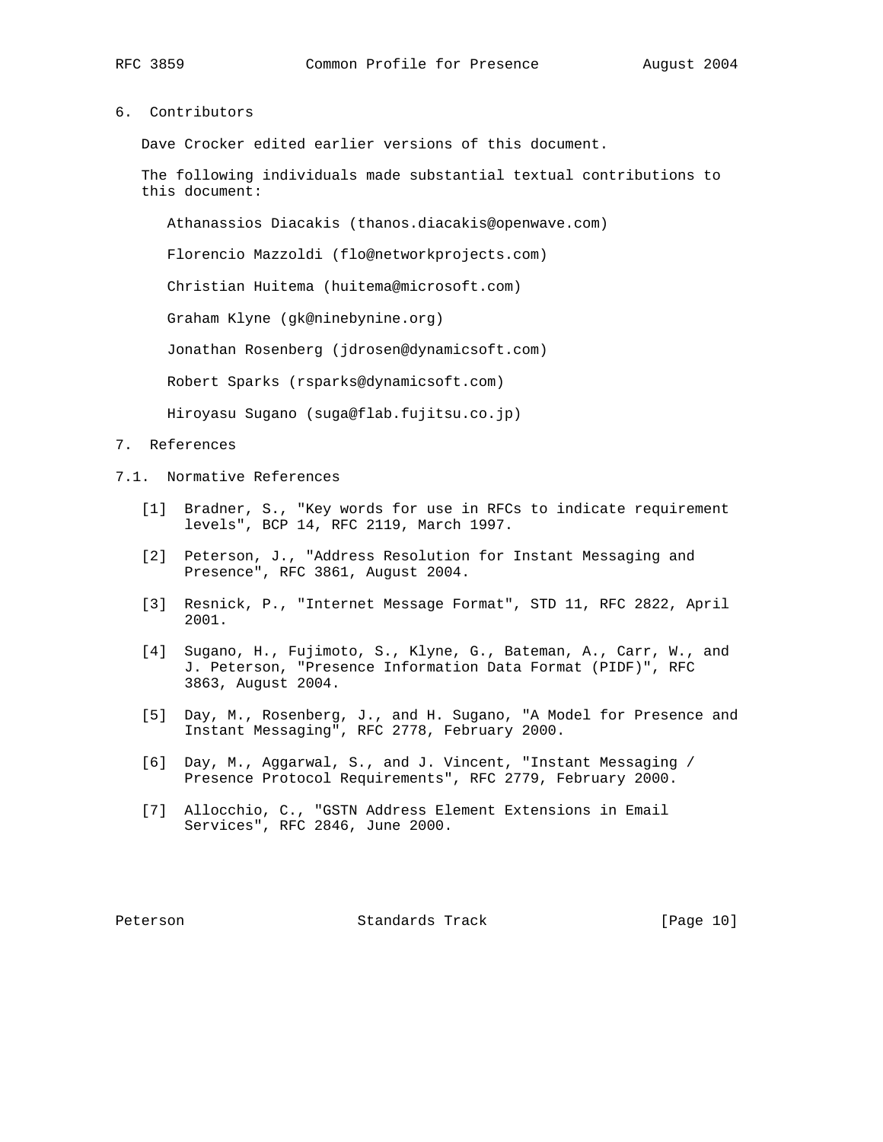6. Contributors

Dave Crocker edited earlier versions of this document.

 The following individuals made substantial textual contributions to this document:

Athanassios Diacakis (thanos.diacakis@openwave.com)

Florencio Mazzoldi (flo@networkprojects.com)

Christian Huitema (huitema@microsoft.com)

Graham Klyne (gk@ninebynine.org)

Jonathan Rosenberg (jdrosen@dynamicsoft.com)

Robert Sparks (rsparks@dynamicsoft.com)

Hiroyasu Sugano (suga@flab.fujitsu.co.jp)

### 7. References

- 7.1. Normative References
	- [1] Bradner, S., "Key words for use in RFCs to indicate requirement levels", BCP 14, RFC 2119, March 1997.
	- [2] Peterson, J., "Address Resolution for Instant Messaging and Presence", RFC 3861, August 2004.
	- [3] Resnick, P., "Internet Message Format", STD 11, RFC 2822, April 2001.
	- [4] Sugano, H., Fujimoto, S., Klyne, G., Bateman, A., Carr, W., and J. Peterson, "Presence Information Data Format (PIDF)", RFC 3863, August 2004.
	- [5] Day, M., Rosenberg, J., and H. Sugano, "A Model for Presence and Instant Messaging", RFC 2778, February 2000.
	- [6] Day, M., Aggarwal, S., and J. Vincent, "Instant Messaging / Presence Protocol Requirements", RFC 2779, February 2000.
	- [7] Allocchio, C., "GSTN Address Element Extensions in Email Services", RFC 2846, June 2000.

Peterson Standards Track [Page 10]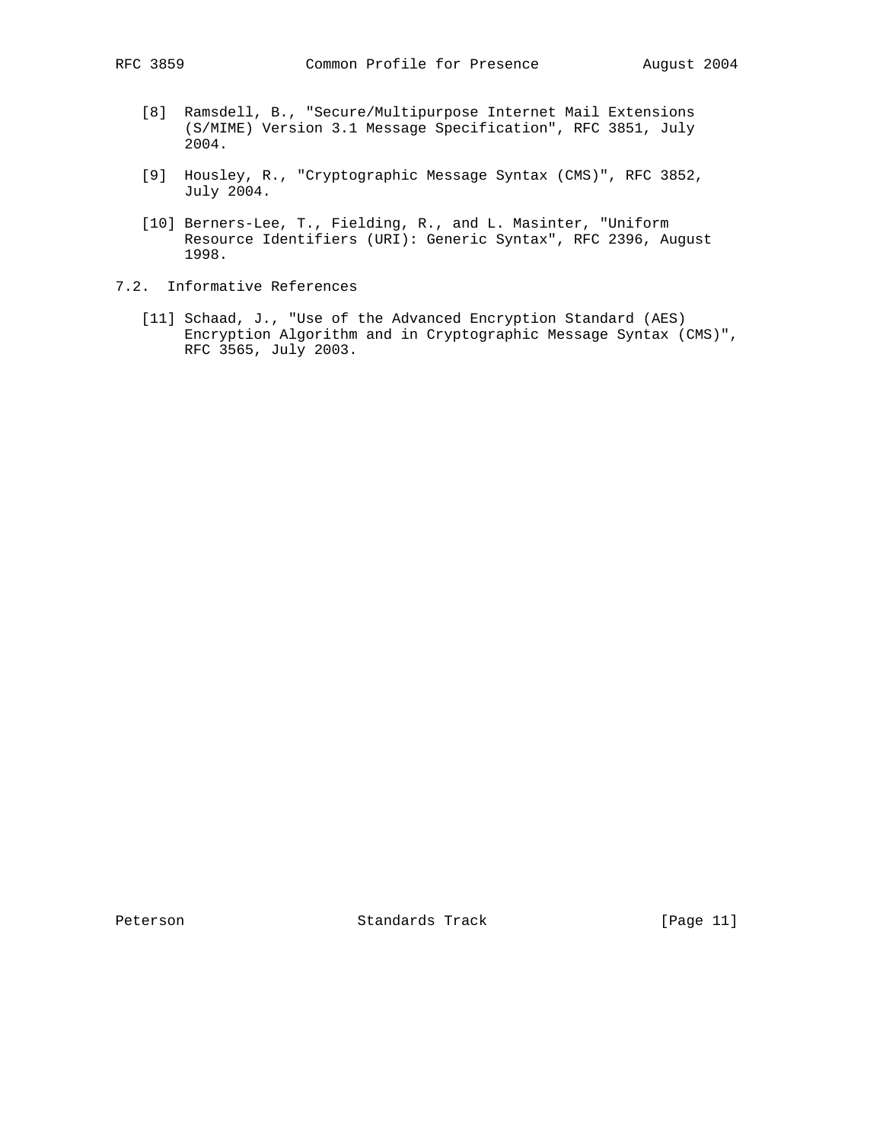- [8] Ramsdell, B., "Secure/Multipurpose Internet Mail Extensions (S/MIME) Version 3.1 Message Specification", RFC 3851, July 2004.
- [9] Housley, R., "Cryptographic Message Syntax (CMS)", RFC 3852, July 2004.
- [10] Berners-Lee, T., Fielding, R., and L. Masinter, "Uniform Resource Identifiers (URI): Generic Syntax", RFC 2396, August 1998.
- 7.2. Informative References
	- [11] Schaad, J., "Use of the Advanced Encryption Standard (AES) Encryption Algorithm and in Cryptographic Message Syntax (CMS)", RFC 3565, July 2003.

Peterson Standards Track [Page 11]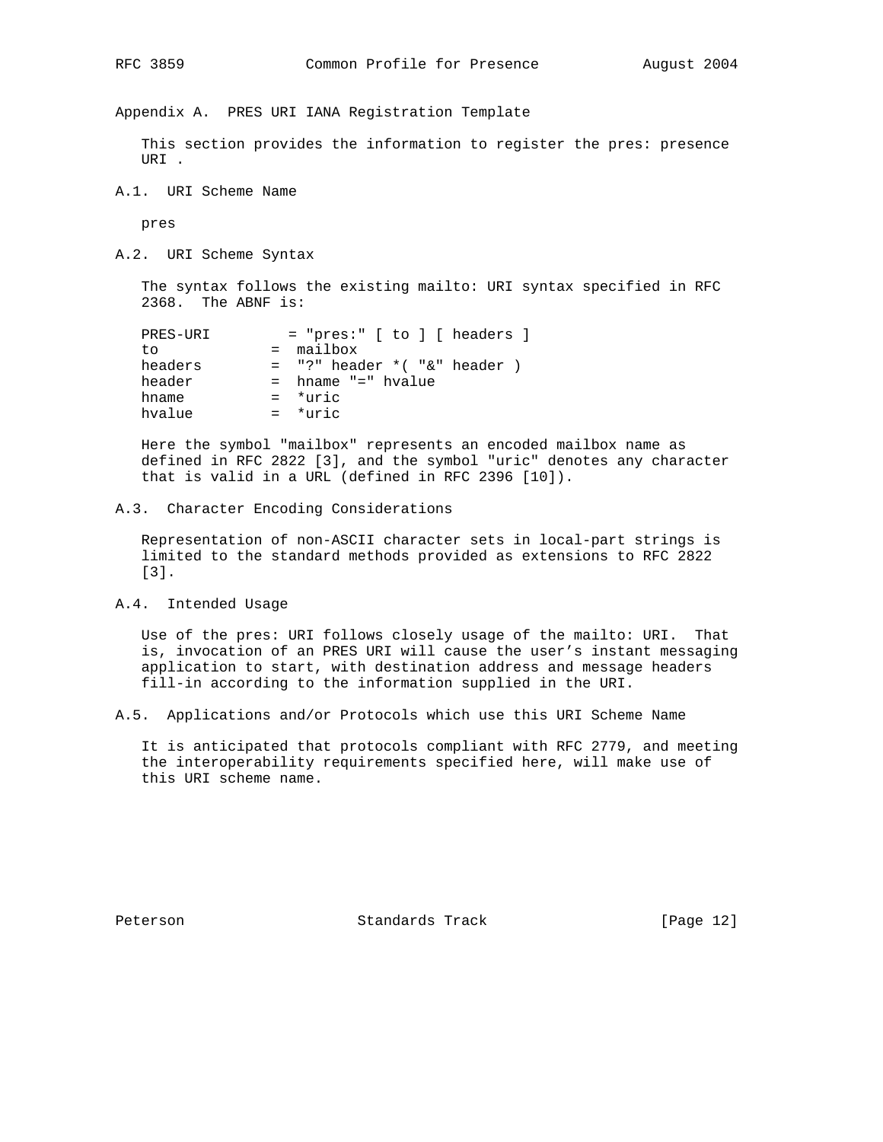Appendix A. PRES URI IANA Registration Template

 This section provides the information to register the pres: presence URI .

A.1. URI Scheme Name

pres

A.2. URI Scheme Syntax

 The syntax follows the existing mailto: URI syntax specified in RFC 2368. The ABNF is:

| $=$ "pres:" $[$ to $]$ $[$ headers $]$ |
|----------------------------------------|
| $=$ mailbox                            |
| $=$ "?" header $*($ "&" header $)$     |
| = hname "=" hvalue                     |
| $=$ *uric                              |
| $=$ *uric                              |
|                                        |

 Here the symbol "mailbox" represents an encoded mailbox name as defined in RFC 2822 [3], and the symbol "uric" denotes any character that is valid in a URL (defined in RFC 2396 [10]).

### A.3. Character Encoding Considerations

 Representation of non-ASCII character sets in local-part strings is limited to the standard methods provided as extensions to RFC 2822 [3].

A.4. Intended Usage

 Use of the pres: URI follows closely usage of the mailto: URI. That is, invocation of an PRES URI will cause the user's instant messaging application to start, with destination address and message headers fill-in according to the information supplied in the URI.

A.5. Applications and/or Protocols which use this URI Scheme Name

 It is anticipated that protocols compliant with RFC 2779, and meeting the interoperability requirements specified here, will make use of this URI scheme name.

Peterson Standards Track [Page 12]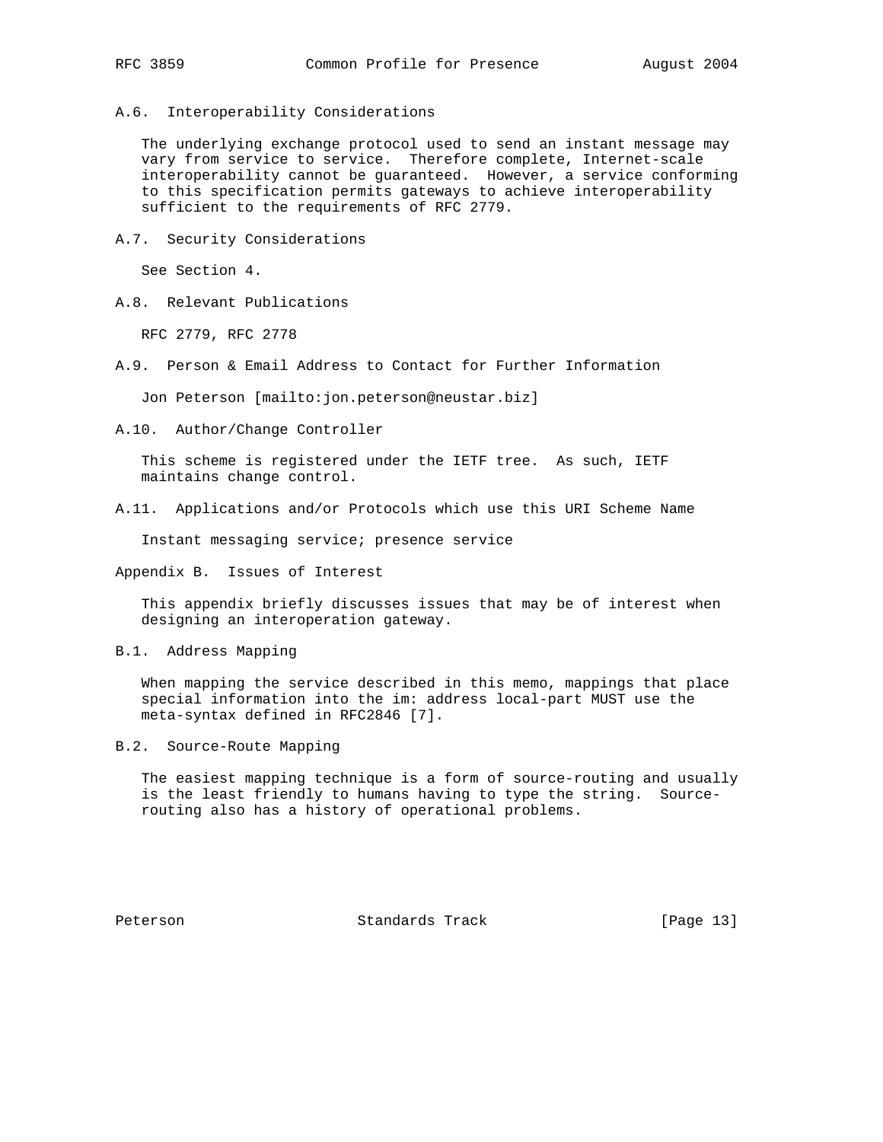A.6. Interoperability Considerations

 The underlying exchange protocol used to send an instant message may vary from service to service. Therefore complete, Internet-scale interoperability cannot be guaranteed. However, a service conforming to this specification permits gateways to achieve interoperability sufficient to the requirements of RFC 2779.

A.7. Security Considerations

See Section 4.

A.8. Relevant Publications

RFC 2779, RFC 2778

A.9. Person & Email Address to Contact for Further Information

Jon Peterson [mailto:jon.peterson@neustar.biz]

A.10. Author/Change Controller

 This scheme is registered under the IETF tree. As such, IETF maintains change control.

A.11. Applications and/or Protocols which use this URI Scheme Name

Instant messaging service; presence service

Appendix B. Issues of Interest

 This appendix briefly discusses issues that may be of interest when designing an interoperation gateway.

B.1. Address Mapping

 When mapping the service described in this memo, mappings that place special information into the im: address local-part MUST use the meta-syntax defined in RFC2846 [7].

B.2. Source-Route Mapping

 The easiest mapping technique is a form of source-routing and usually is the least friendly to humans having to type the string. Source routing also has a history of operational problems.

Peterson Standards Track [Page 13]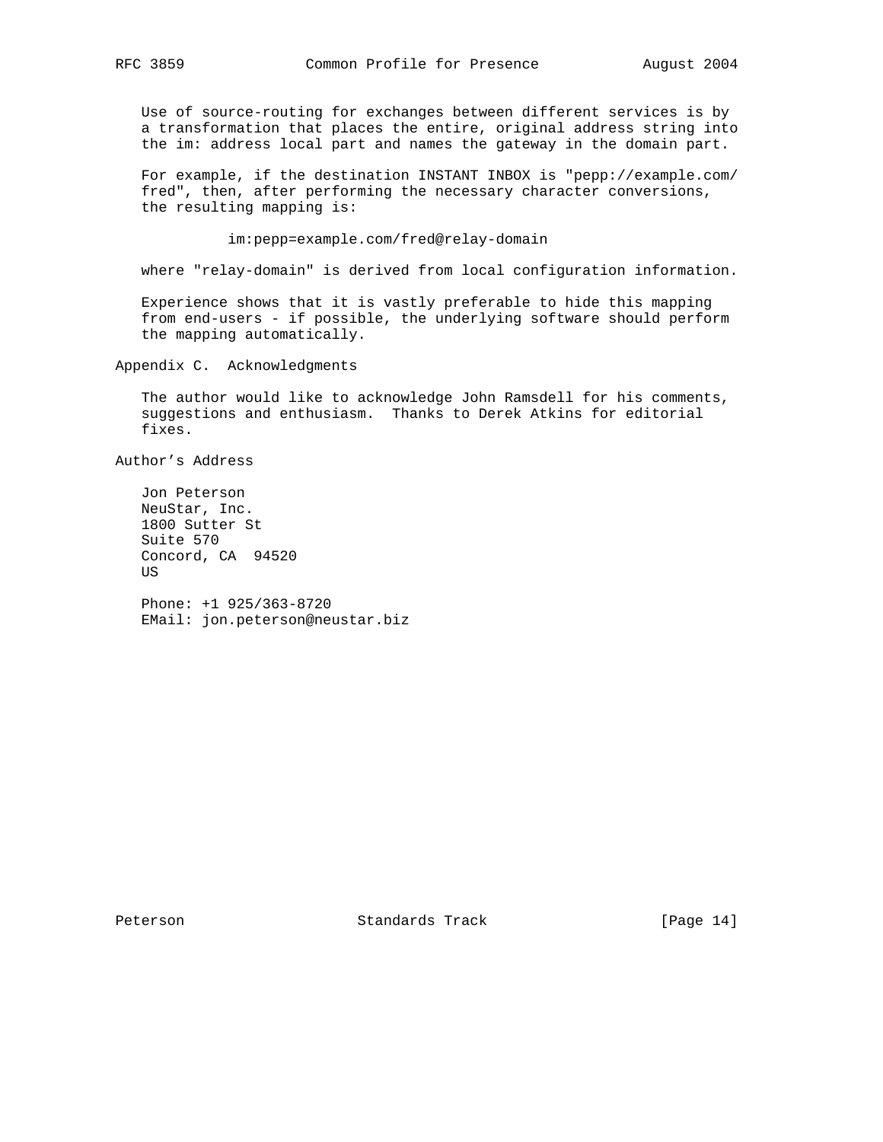Use of source-routing for exchanges between different services is by a transformation that places the entire, original address string into the im: address local part and names the gateway in the domain part.

 For example, if the destination INSTANT INBOX is "pepp://example.com/ fred", then, after performing the necessary character conversions, the resulting mapping is:

im:pepp=example.com/fred@relay-domain

where "relay-domain" is derived from local configuration information.

 Experience shows that it is vastly preferable to hide this mapping from end-users - if possible, the underlying software should perform the mapping automatically.

Appendix C. Acknowledgments

 The author would like to acknowledge John Ramsdell for his comments, suggestions and enthusiasm. Thanks to Derek Atkins for editorial fixes.

Author's Address

 Jon Peterson NeuStar, Inc. 1800 Sutter St Suite 570 Concord, CA 94520 US

 Phone: +1 925/363-8720 EMail: jon.peterson@neustar.biz

Peterson Standards Track [Page 14]